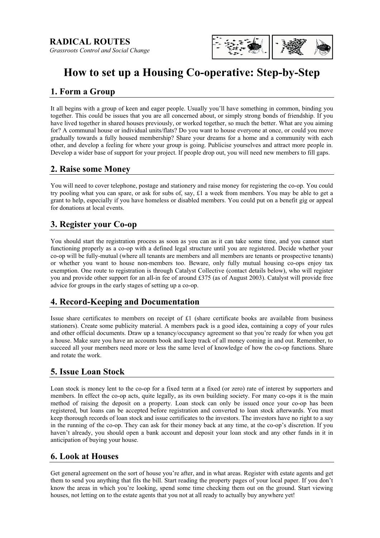

# **How to set up a Housing Co-operative: Step-by-Step**

# **1. Form a Group**

It all begins with a group of keen and eager people. Usually you'll have something in common, binding you together. This could be issues that you are all concerned about, or simply strong bonds of friendship. If you have lived together in shared houses previously, or worked together, so much the better. What are you aiming for? A communal house or individual units/flats? Do you want to house everyone at once, or could you move gradually towards a fully housed membership? Share your dreams for a home and a community with each other, and develop a feeling for where your group is going. Publicise yourselves and attract more people in. Develop a wider base of support for your project. If people drop out, you will need new members to fill gaps.

## **2. Raise some Money**

You will need to cover telephone, postage and stationery and raise money for registering the co-op. You could try pooling what you can spare, or ask for subs of, say, £1 a week from members. You may be able to get a grant to help, especially if you have homeless or disabled members. You could put on a benefit gig or appeal for donations at local events.

# **3. Register your Co-op**

You should start the registration process as soon as you can as it can take some time, and you cannot start functioning properly as a co-op with a defined legal structure until you are registered. Decide whether your co-op will be fully-mutual (where all tenants are members and all members are tenants or prospective tenants) or whether you want to house non-members too. Beware, only fully mutual housing co-ops enjoy tax exemption. One route to registration is through Catalyst Collective (contact details below), who will register you and provide other support for an all-in fee of around £375 (as of August 2003). Catalyst will provide free advice for groups in the early stages of setting up a co-op.

# **4. Record-Keeping and Documentation**

Issue share certificates to members on receipt of  $£1$  (share certificate books are available from business stationers). Create some publicity material. A members pack is a good idea, containing a copy of your rules and other official documents. Draw up a tenancy/occupancy agreement so that you're ready for when you get a house. Make sure you have an accounts book and keep track of all money coming in and out. Remember, to succeed all your members need more or less the same level of knowledge of how the co-op functions. Share and rotate the work.

# **5. Issue Loan Stock**

Loan stock is money lent to the co-op for a fixed term at a fixed (or zero) rate of interest by supporters and members. In effect the co-op acts, quite legally, as its own building society. For many co-ops it is the main method of raising the deposit on a property. Loan stock can only be issued once your co-op has been registered, but loans can be accepted before registration and converted to loan stock afterwards. You must keep thorough records of loan stock and issue certificates to the investors. The investors have no right to a say in the running of the co-op. They can ask for their money back at any time, at the co-op's discretion. If you haven't already, you should open a bank account and deposit your loan stock and any other funds in it in anticipation of buying your house.

#### **6. Look at Houses**

Get general agreement on the sort of house you're after, and in what areas. Register with estate agents and get them to send you anything that fits the bill. Start reading the property pages of your local paper. If you don't know the areas in which you're looking, spend some time checking them out on the ground. Start viewing houses, not letting on to the estate agents that you not at all ready to actually buy anywhere yet!